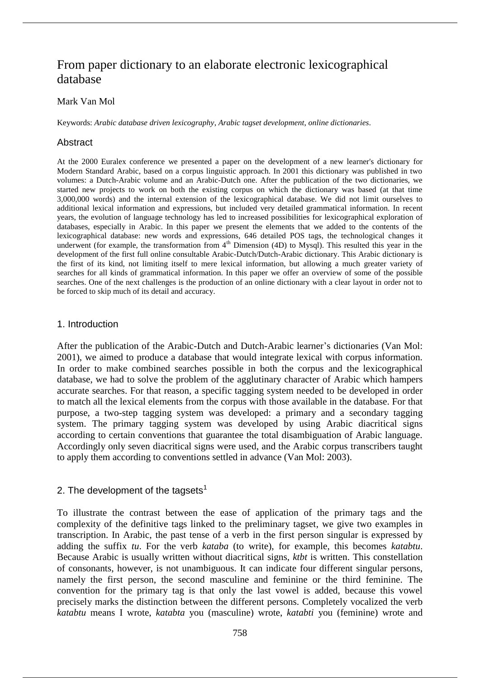# From paper dictionary to an elaborate electronic lexicographical database

#### Mark Van Mol

Keywords: *Arabic database driven lexicography*, *Arabic tagset development*, *online dictionaries*.

## Abstract

At the 2000 Euralex conference we presented a paper on the development of a new learner's dictionary for Modern Standard Arabic, based on a corpus linguistic approach. In 2001 this dictionary was published in two volumes: a Dutch-Arabic volume and an Arabic-Dutch one. After the publication of the two dictionaries, we started new projects to work on both the existing corpus on which the dictionary was based (at that time 3,000,000 words) and the internal extension of the lexicographical database. We did not limit ourselves to additional lexical information and expressions, but included very detailed grammatical information. In recent years, the evolution of language technology has led to increased possibilities for lexicographical exploration of databases, especially in Arabic. In this paper we present the elements that we added to the contents of the lexicographical database: new words and expressions, 646 detailed POS tags, the technological changes it underwent (for example, the transformation from 4<sup>th</sup> Dimension (4D) to Mysql). This resulted this year in the development of the first full online consultable Arabic-Dutch/Dutch-Arabic dictionary. This Arabic dictionary is the first of its kind, not limiting itself to mere lexical information, but allowing a much greater variety of searches for all kinds of grammatical information. In this paper we offer an overview of some of the possible searches. One of the next challenges is the production of an online dictionary with a clear layout in order not to be forced to skip much of its detail and accuracy.

## 1. Introduction

After the publication of the Arabic-Dutch and Dutch-Arabic learner's dictionaries (Van Mol: 2001), we aimed to produce a database that would integrate lexical with corpus information. In order to make combined searches possible in both the corpus and the lexicographical database, we had to solve the problem of the agglutinary character of Arabic which hampers accurate searches. For that reason, a specific tagging system needed to be developed in order to match all the lexical elements from the corpus with those available in the database. For that purpose, a two-step tagging system was developed: a primary and a secondary tagging system. The primary tagging system was developed by using Arabic diacritical signs according to certain conventions that guarantee the total disambiguation of Arabic language. Accordingly only seven diacritical signs were used, and the Arabic corpus transcribers taught to apply them according to conventions settled in advance (Van Mol: 2003).

# 2. The development of the tagsets $<sup>1</sup>$ </sup>

To illustrate the contrast between the ease of application of the primary tags and the complexity of the definitive tags linked to the preliminary tagset, we give two examples in transcription. In Arabic, the past tense of a verb in the first person singular is expressed by adding the suffix *tu*. For the verb *kataba* (to write), for example, this becomes *katabtu*. Because Arabic is usually written without diacritical signs, *ktbt* is written. This constellation of consonants, however, is not unambiguous. It can indicate four different singular persons, namely the first person, the second masculine and feminine or the third feminine. The convention for the primary tag is that only the last vowel is added, because this vowel precisely marks the distinction between the different persons. Completely vocalized the verb *katabtu* means I wrote, *katabta* you (masculine) wrote, *katabti* you (feminine) wrote and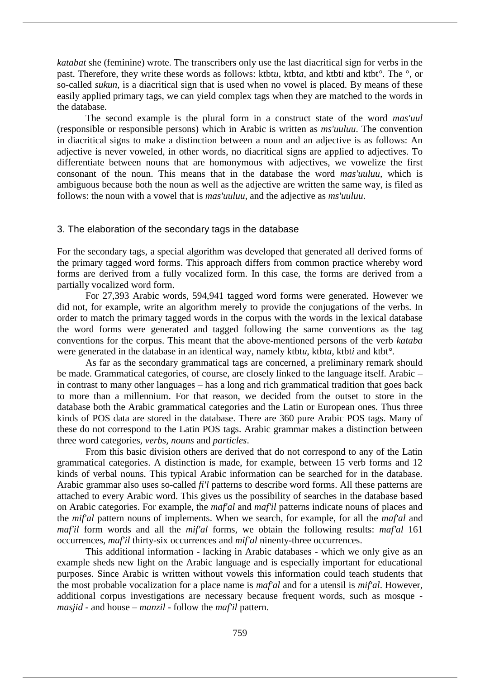*katabat* she (feminine) wrote. The transcribers only use the last diacritical sign for verbs in the past. Therefore, they write these words as follows: ktbt*u*, ktbt*a*, and ktbt*i* and ktbt*°*. The °, or so-called *sukun*, is a diacritical sign that is used when no vowel is placed. By means of these easily applied primary tags, we can yield complex tags when they are matched to the words in the database.

The second example is the plural form in a construct state of the word *mas'uul* (responsible or responsible persons) which in Arabic is written as *ms'uuluu*. The convention in diacritical signs to make a distinction between a noun and an adjective is as follows: An adjective is never voweled, in other words, no diacritical signs are applied to adjectives. To differentiate between nouns that are homonymous with adjectives, we vowelize the first consonant of the noun. This means that in the database the word *mas'uuluu,* which is ambiguous because both the noun as well as the adjective are written the same way, is filed as follows: the noun with a vowel that is *mas'uuluu*, and the adjective as *ms'uuluu*.

## 3. The elaboration of the secondary tags in the database

For the secondary tags, a special algorithm was developed that generated all derived forms of the primary tagged word forms. This approach differs from common practice whereby word forms are derived from a fully vocalized form. In this case, the forms are derived from a partially vocalized word form.

For 27,393 Arabic words, 594,941 tagged word forms were generated. However we did not, for example, write an algorithm merely to provide the conjugations of the verbs. In order to match the primary tagged words in the corpus with the words in the lexical database the word forms were generated and tagged following the same conventions as the tag conventions for the corpus. This meant that the above-mentioned persons of the verb *kataba* were generated in the database in an identical way, namely ktbt*u*, ktbt*a*, ktbt*i* and ktbt*°*.

As far as the secondary grammatical tags are concerned, a preliminary remark should be made. Grammatical categories, of course, are closely linked to the language itself. Arabic – in contrast to many other languages – has a long and rich grammatical tradition that goes back to more than a millennium. For that reason, we decided from the outset to store in the database both the Arabic grammatical categories and the Latin or European ones. Thus three kinds of POS data are stored in the database. There are 360 pure Arabic POS tags. Many of these do not correspond to the Latin POS tags. Arabic grammar makes a distinction between three word categories, *verbs, nouns* and *particles*.

From this basic division others are derived that do not correspond to any of the Latin grammatical categories. A distinction is made, for example, between 15 verb forms and 12 kinds of verbal nouns. This typical Arabic information can be searched for in the database. Arabic grammar also uses so-called *fi'l* patterns to describe word forms. All these patterns are attached to every Arabic word. This gives us the possibility of searches in the database based on Arabic categories. For example, the *maf'al* and *maf'il* patterns indicate nouns of places and the *mif'al* pattern nouns of implements. When we search, for example, for all the *maf'al* and *maf'il* form words and all the *mif'al* forms, we obtain the following results: *maf'al* 161 occurrences, *maf'il* thirty-six occurrences and *mif'al* ninenty-three occurrences.

This additional information - lacking in Arabic databases - which we only give as an example sheds new light on the Arabic language and is especially important for educational purposes. Since Arabic is written without vowels this information could teach students that the most probable vocalization for a place name is *maf'al* and for a utensil is *mif'al*. However, additional corpus investigations are necessary because frequent words, such as mosque *masjid* - and house – *manzil* - follow the *maf'il* pattern.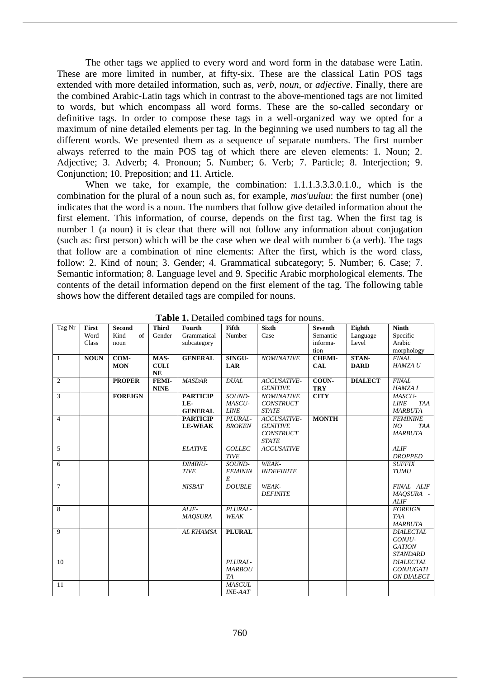The other tags we applied to every word and word form in the database were Latin. These are more limited in number, at fifty-six. These are the classical Latin POS tags extended with more detailed information, such as, *verb*, *noun*, or *adjective*. Finally, there are the combined Arabic-Latin tags which in contrast to the above-mentioned tags are not limited to words, but which encompass all word forms. These are the so-called secondary or definitive tags. In order to compose these tags in a well-organized way we opted for a maximum of nine detailed elements per tag. In the beginning we used numbers to tag all the different words. We presented them as a sequence of separate numbers. The first number always referred to the main POS tag of which there are eleven elements: 1. Noun; 2. Adjective; 3. Adverb; 4. Pronoun; 5. Number; 6. Verb; 7. Particle; 8. Interjection; 9. Conjunction; 10. Preposition; and 11. Article.

When we take, for example, the combination: 1.1.1.3.3.3.0.1.0., which is the combination for the plural of a noun such as, for example, *mas'uuluu*: the first number (one) indicates that the word is a noun. The numbers that follow give detailed information about the first element. This information, of course, depends on the first tag. When the first tag is number 1 (a noun) it is clear that there will not follow any information about conjugation (such as: first person) which will be the case when we deal with number 6 (a verb). The tags that follow are a combination of nine elements: After the first, which is the word class, follow: 2. Kind of noun; 3. Gender; 4. Grammatical subcategory; 5. Number; 6. Case; 7. Semantic information; 8. Language level and 9. Specific Arabic morphological elements. The contents of the detail information depend on the first element of the tag. The following table shows how the different detailed tags are compiled for nouns.

| Tag Nr         | First       | <b>Second</b>      | <b>Third</b> | Fourth          | Fifth          | <b>Sixth</b>      | <b>Seventh</b> | Eighth         | <b>Ninth</b>       |
|----------------|-------------|--------------------|--------------|-----------------|----------------|-------------------|----------------|----------------|--------------------|
|                | Word        | Kind<br>$\sigma$ f | Gender       | Grammatical     | Number         | Case              | Semantic       | Language       | Specific           |
|                | Class       | noun               |              | subcategory     |                |                   | informa-       | Level          | Arabic             |
|                |             |                    |              |                 |                |                   | tion           |                | morphology         |
| $\mathbf{1}$   | <b>NOUN</b> | COM-               | MAS-         | <b>GENERAL</b>  | SINGU-         | <b>NOMINATIVE</b> | <b>CHEMI-</b>  | STAN-          | <b>FINAL</b>       |
|                |             | <b>MON</b>         | <b>CULI</b>  |                 | <b>LAR</b>     |                   | <b>CAL</b>     | <b>DARD</b>    | HAMZA U            |
|                |             |                    | NE           |                 |                |                   |                |                |                    |
| 2              |             | <b>PROPER</b>      | FEMI-        | <b>MASDAR</b>   | <b>DUAL</b>    | ACCUSATIVE-       | COUN-          | <b>DIALECT</b> | <b>FINAL</b>       |
|                |             |                    | <b>NINE</b>  |                 |                | <b>GENITIVE</b>   | <b>TRY</b>     |                | <b>HAMZA I</b>     |
| 3              |             | <b>FOREIGN</b>     |              | <b>PARTICIP</b> | SOUND-         | <b>NOMINATIVE</b> | <b>CITY</b>    |                | MASCU-             |
|                |             |                    |              | LE-             | MASCU-         | <b>CONSTRUCT</b>  |                |                | <b>LINE</b><br>TAA |
|                |             |                    |              | <b>GENERAL</b>  | <b>LINE</b>    | <b>STATE</b>      |                |                | <b>MARBUTA</b>     |
| $\overline{4}$ |             |                    |              | <b>PARTICIP</b> | PLURAL-        | ACCUSATIVE-       | <b>MONTH</b>   |                | <b>FEMININE</b>    |
|                |             |                    |              | <b>LE-WEAK</b>  | <b>BROKEN</b>  | <b>GENITIVE</b>   |                |                | NO<br>TAA          |
|                |             |                    |              |                 |                | <b>CONSTRUCT</b>  |                |                | <b>MARBUTA</b>     |
|                |             |                    |              |                 |                | <b>STATE</b>      |                |                |                    |
| 5              |             |                    |              | <b>ELATIVE</b>  | <b>COLLEC</b>  | <b>ACCUSATIVE</b> |                |                | <b>ALIF</b>        |
|                |             |                    |              |                 | <b>TIVE</b>    |                   |                |                | <b>DROPPED</b>     |
| 6              |             |                    |              | DIMINU-         | SOUND-         | WEAK-             |                |                | <b>SUFFIX</b>      |
|                |             |                    |              | <b>TIVE</b>     | <b>FEMININ</b> | <b>INDEFINITE</b> |                |                | <b>TUMU</b>        |
|                |             |                    |              |                 | E              |                   |                |                |                    |
| $\overline{7}$ |             |                    |              | <b>NISBAT</b>   | <b>DOUBLE</b>  | WEAK-             |                |                | FINAL ALIF         |
|                |             |                    |              |                 |                | <b>DEFINITE</b>   |                |                | <i>MAQSURA</i> -   |
|                |             |                    |              |                 |                |                   |                |                | <b>ALIF</b>        |
| 8              |             |                    |              | $ALIF-$         | PLURAL-        |                   |                |                | <b>FOREIGN</b>     |
|                |             |                    |              | <b>MAQSURA</b>  | <b>WEAK</b>    |                   |                |                | <b>TAA</b>         |
|                |             |                    |              |                 |                |                   |                |                | <b>MARBUTA</b>     |
| $\mathbf{Q}$   |             |                    |              | AL KHAMSA       | <b>PLURAL</b>  |                   |                |                | <b>DIALECTAL</b>   |
|                |             |                    |              |                 |                |                   |                |                | CONJU-             |
|                |             |                    |              |                 |                |                   |                |                | <b>GATION</b>      |
|                |             |                    |              |                 |                |                   |                |                | <b>STANDARD</b>    |
| 10             |             |                    |              |                 | PLURAL-        |                   |                |                | <b>DIALECTAL</b>   |
|                |             |                    |              |                 | <b>MARBOU</b>  |                   |                |                | <b>CONJUGATI</b>   |
|                |             |                    |              |                 | <b>TA</b>      |                   |                |                | ON DIALECT         |
| 11             |             |                    |              |                 | <b>MASCUL</b>  |                   |                |                |                    |
|                |             |                    |              |                 | <b>INE-AAT</b> |                   |                |                |                    |

Table 1. Detailed combined tags for nouns.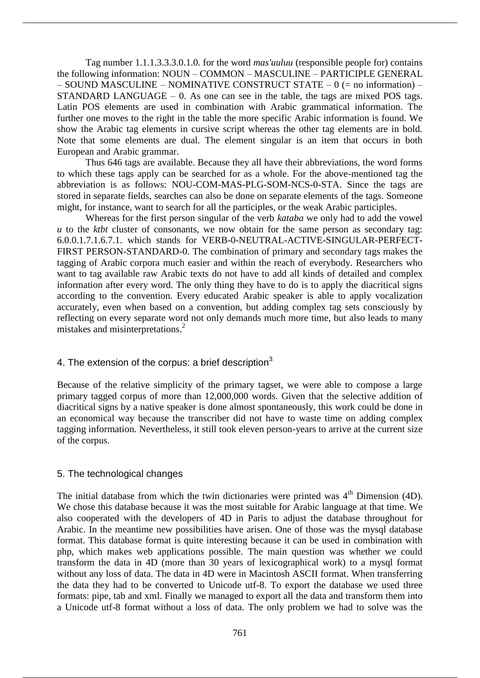Tag number 1.1.1.3.3.3.0.1.0. for the word *mas'uuluu* (responsible people for) contains the following information: NOUN – COMMON – MASCULINE – PARTICIPLE GENERAL  $-$  SOUND MASCULINE – NOMINATIVE CONSTRUCT STATE – 0 (= no information) – STANDARD LANGUAGE – 0. As one can see in the table, the tags are mixed POS tags. Latin POS elements are used in combination with Arabic grammatical information. The further one moves to the right in the table the more specific Arabic information is found. We show the Arabic tag elements in cursive script whereas the other tag elements are in bold. Note that some elements are dual. The element singular is an item that occurs in both European and Arabic grammar.

Thus 646 tags are available. Because they all have their abbreviations, the word forms to which these tags apply can be searched for as a whole. For the above-mentioned tag the abbreviation is as follows: NOU-COM-MAS-PLG-SOM-NCS-0-STA. Since the tags are stored in separate fields, searches can also be done on separate elements of the tags. Someone might, for instance, want to search for all the participles, or the weak Arabic participles.

Whereas for the first person singular of the verb *kataba* we only had to add the vowel *u* to the *ktbt* cluster of consonants, we now obtain for the same person as secondary tag: 6.0.0.1.7.1.6.7.1. which stands for VERB-0-NEUTRAL-ACTIVE-SINGULAR-PERFECT-FIRST PERSON-STANDARD-0. The combination of primary and secondary tags makes the tagging of Arabic corpora much easier and within the reach of everybody. Researchers who want to tag available raw Arabic texts do not have to add all kinds of detailed and complex information after every word. The only thing they have to do is to apply the diacritical signs according to the convention. Every educated Arabic speaker is able to apply vocalization accurately, even when based on a convention, but adding complex tag sets consciously by reflecting on every separate word not only demands much more time, but also leads to many mistakes and misinterpretations. 2

## 4. The extension of the corpus: a brief description $3$

Because of the relative simplicity of the primary tagset, we were able to compose a large primary tagged corpus of more than 12,000,000 words. Given that the selective addition of diacritical signs by a native speaker is done almost spontaneously, this work could be done in an economical way because the transcriber did not have to waste time on adding complex tagging information. Nevertheless, it still took eleven person-years to arrive at the current size of the corpus.

## 5. The technological changes

The initial database from which the twin dictionaries were printed was  $4<sup>th</sup>$  Dimension (4D). We chose this database because it was the most suitable for Arabic language at that time. We also cooperated with the developers of 4D in Paris to adjust the database throughout for Arabic. In the meantime new possibilities have arisen. One of those was the mysql database format. This database format is quite interesting because it can be used in combination with php, which makes web applications possible. The main question was whether we could transform the data in 4D (more than 30 years of lexicographical work) to a mysql format without any loss of data. The data in 4D were in Macintosh ASCII format. When transferring the data they had to be converted to Unicode utf-8. To export the database we used three formats: pipe, tab and xml. Finally we managed to export all the data and transform them into a Unicode utf-8 format without a loss of data. The only problem we had to solve was the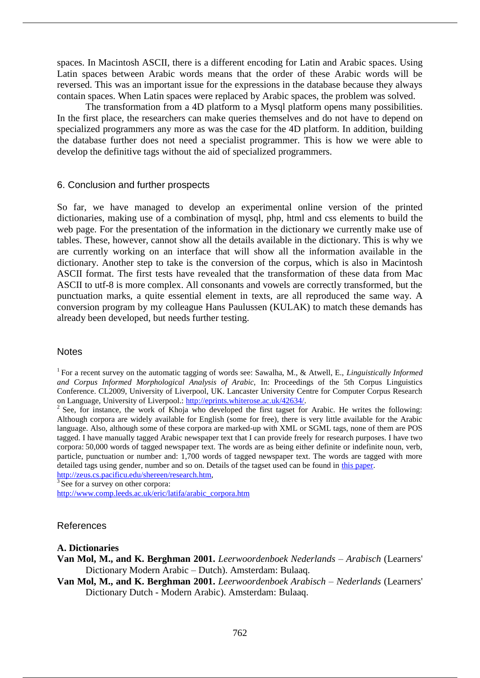spaces. In Macintosh ASCII, there is a different encoding for Latin and Arabic spaces. Using Latin spaces between Arabic words means that the order of these Arabic words will be reversed. This was an important issue for the expressions in the database because they always contain spaces. When Latin spaces were replaced by Arabic spaces, the problem was solved.

The transformation from a 4D platform to a Mysql platform opens many possibilities. In the first place, the researchers can make queries themselves and do not have to depend on specialized programmers any more as was the case for the 4D platform. In addition, building the database further does not need a specialist programmer. This is how we were able to develop the definitive tags without the aid of specialized programmers.

#### 6. Conclusion and further prospects

So far, we have managed to develop an experimental online version of the printed dictionaries, making use of a combination of mysql, php, html and css elements to build the web page. For the presentation of the information in the dictionary we currently make use of tables. These, however, cannot show all the details available in the dictionary. This is why we are currently working on an interface that will show all the information available in the dictionary. Another step to take is the conversion of the corpus, which is also in Macintosh ASCII format. The first tests have revealed that the transformation of these data from Mac ASCII to utf-8 is more complex. All consonants and vowels are correctly transformed, but the punctuation marks, a quite essential element in texts, are all reproduced the same way. A conversion program by my colleague Hans Paulussen (KULAK) to match these demands has already been developed, but needs further testing.

#### **Notes**

<sup>1</sup>For a recent survey on the automatic tagging of words see: Sawalha, M., & Atwell, E., *Linguistically Informed and Corpus Informed Morphological Analysis of Arabic,* In: Proceedings of the 5th Corpus Linguistics Conference. CL2009, University of Liverpool, UK. Lancaster University Centre for Computer Corpus Research on Language, University of Liverpool.: http://eprints.whiterose.ac.uk/42634/.

<sup>2</sup> See, for instance, the work of Khoja who developed the first tagset for Arabic. He writes the following: Although corpora are widely available for English (some for free), there is very little available for the Arabic language. Also, although some of these corpora are marked-up with XML or SGML tags, none of them are POS tagged. I have manually tagged Arabic newspaper text that I can provide freely for research purposes. I have two corpora: 50,000 words of tagged newspaper text. The words are as being either definite or indefinite noun, verb, particle, punctuation or number and: 1,700 words of tagged newspaper text. The words are tagged with more detailed tags using gender, number and so on. Details of the tagset used can be found in this paper.

http://zeus.cs.pacificu.edu/shereen/research.htm,

 $\frac{3}{3}$  See for a survey on other corpora:

http://www.comp.leeds.ac.uk/eric/latifa/arabic\_corpora.htm

## References

#### **A. Dictionaries**

**Van Mol, M., and K. Berghman 2001.** *Leerwoordenboek Nederlands – Arabisch* (Learners' Dictionary Modern Arabic – Dutch). Amsterdam: Bulaaq.

**Van Mol, M., and K. Berghman 2001.** *Leerwoordenboek Arabisch – Nederlands* (Learners' Dictionary Dutch - Modern Arabic). Amsterdam: Bulaaq.